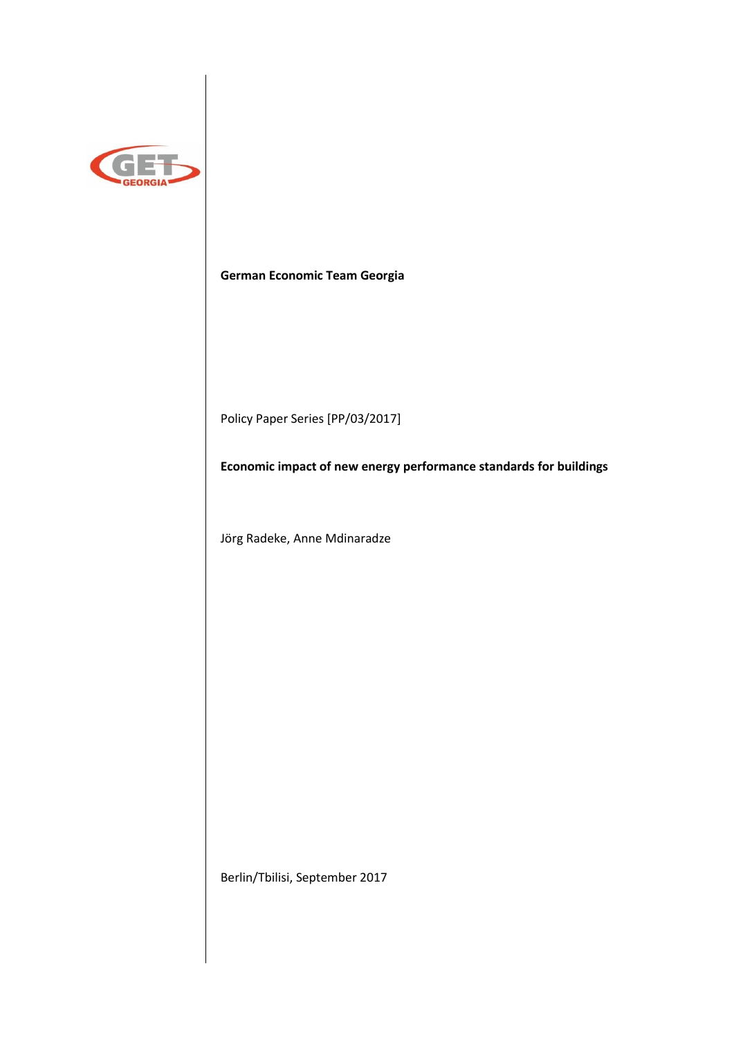

**German Economic Team Georgia**

Policy Paper Series [PP/03/2017]

**Economic impact of new energy performance standards for buildings**

Jörg Radeke, Anne Mdinaradze

Berlin/Tbilisi, September 2017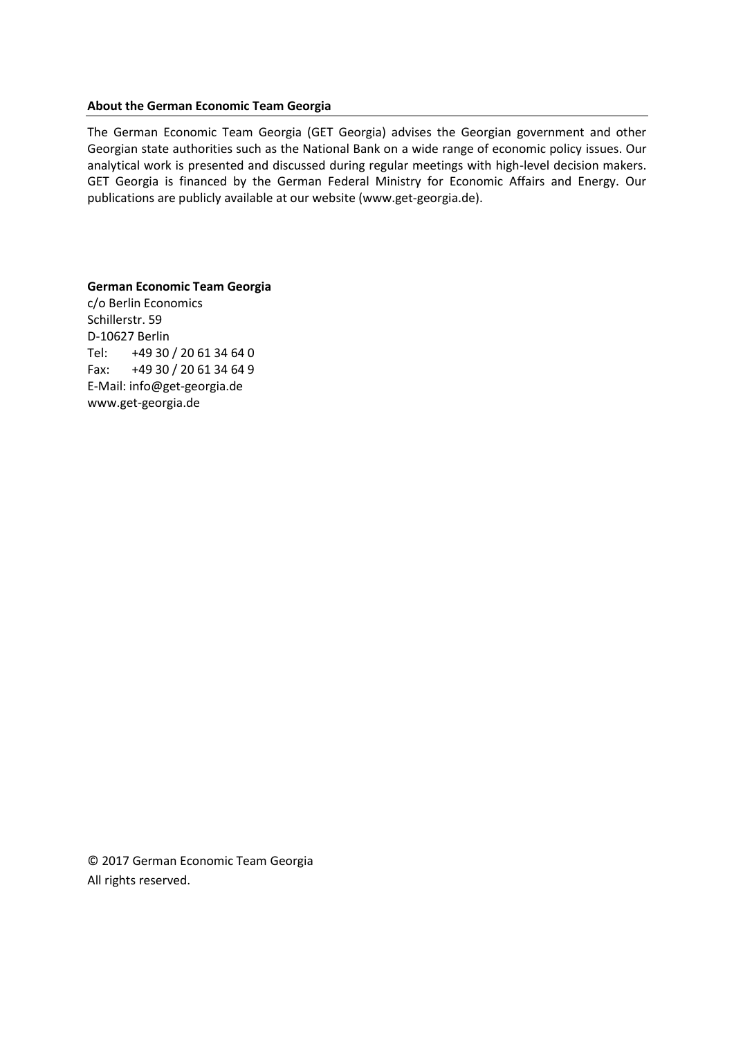#### **About the German Economic Team Georgia**

The German Economic Team Georgia (GET Georgia) advises the Georgian government and other Georgian state authorities such as the National Bank on a wide range of economic policy issues. Our analytical work is presented and discussed during regular meetings with high-level decision makers. GET Georgia is financed by the German Federal Ministry for Economic Affairs and Energy. Our publications are publicly available at our website (www.get-georgia.de).

**German Economic Team Georgia** c/o Berlin Economics Schillerstr. 59 D-10627 Berlin Tel: +49 30 / 20 61 34 64 0 Fax: +49 30 / 20 61 34 64 9 E-Mail: info@get-georgia.de www.get-georgia.de

© 2017 German Economic Team Georgia All rights reserved.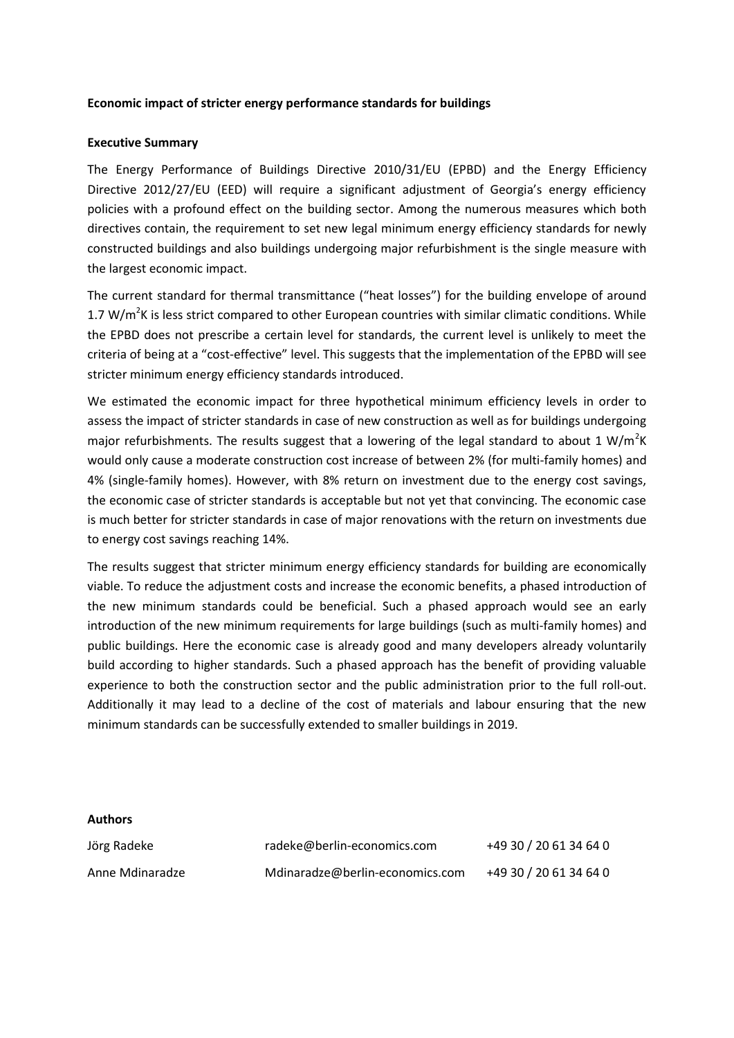#### **Economic impact of stricter energy performance standards for buildings**

#### **Executive Summary**

The Energy Performance of Buildings Directive 2010/31/EU (EPBD) and the Energy Efficiency Directive 2012/27/EU (EED) will require a significant adjustment of Georgia's energy efficiency policies with a profound effect on the building sector. Among the numerous measures which both directives contain, the requirement to set new legal minimum energy efficiency standards for newly constructed buildings and also buildings undergoing major refurbishment is the single measure with the largest economic impact.

The current standard for thermal transmittance ("heat losses") for the building envelope of around 1.7 W/m<sup>2</sup>K is less strict compared to other European countries with similar climatic conditions. While the EPBD does not prescribe a certain level for standards, the current level is unlikely to meet the criteria of being at a "cost-effective" level. This suggests that the implementation of the EPBD will see stricter minimum energy efficiency standards introduced.

We estimated the economic impact for three hypothetical minimum efficiency levels in order to assess the impact of stricter standards in case of new construction as well as for buildings undergoing major refurbishments. The results suggest that a lowering of the legal standard to about 1 W/m<sup>2</sup>K would only cause a moderate construction cost increase of between 2% (for multi-family homes) and 4% (single-family homes). However, with 8% return on investment due to the energy cost savings, the economic case of stricter standards is acceptable but not yet that convincing. The economic case is much better for stricter standards in case of major renovations with the return on investments due to energy cost savings reaching 14%.

The results suggest that stricter minimum energy efficiency standards for building are economically viable. To reduce the adjustment costs and increase the economic benefits, a phased introduction of the new minimum standards could be beneficial. Such a phased approach would see an early introduction of the new minimum requirements for large buildings (such as multi-family homes) and public buildings. Here the economic case is already good and many developers already voluntarily build according to higher standards. Such a phased approach has the benefit of providing valuable experience to both the construction sector and the public administration prior to the full roll-out. Additionally it may lead to a decline of the cost of materials and labour ensuring that the new minimum standards can be successfully extended to smaller buildings in 2019.

#### **Authors**

| Jörg Radeke     | radeke@berlin-economics.com     | +49 30 / 20 61 34 64 0 |
|-----------------|---------------------------------|------------------------|
| Anne Mdinaradze | Mdinaradze@berlin-economics.com | +49 30 / 20 61 34 64 0 |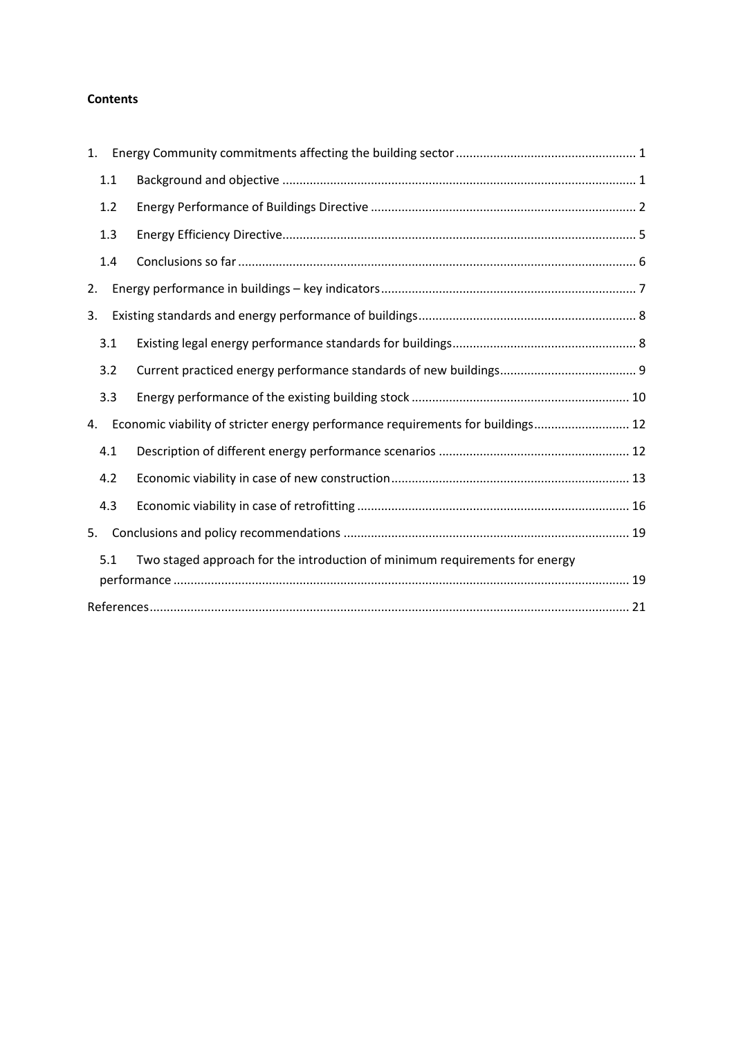# **Contents**

| 1.  |                                                                                 |  |
|-----|---------------------------------------------------------------------------------|--|
| 1.1 |                                                                                 |  |
| 1.2 |                                                                                 |  |
| 1.3 |                                                                                 |  |
| 1.4 |                                                                                 |  |
| 2.  |                                                                                 |  |
| 3.  |                                                                                 |  |
| 3.1 |                                                                                 |  |
| 3.2 |                                                                                 |  |
| 3.3 |                                                                                 |  |
| 4.  | Economic viability of stricter energy performance requirements for buildings 12 |  |
| 4.1 |                                                                                 |  |
| 4.2 |                                                                                 |  |
| 4.3 |                                                                                 |  |
| 5.  |                                                                                 |  |
| 5.1 | Two staged approach for the introduction of minimum requirements for energy     |  |
|     |                                                                                 |  |
|     |                                                                                 |  |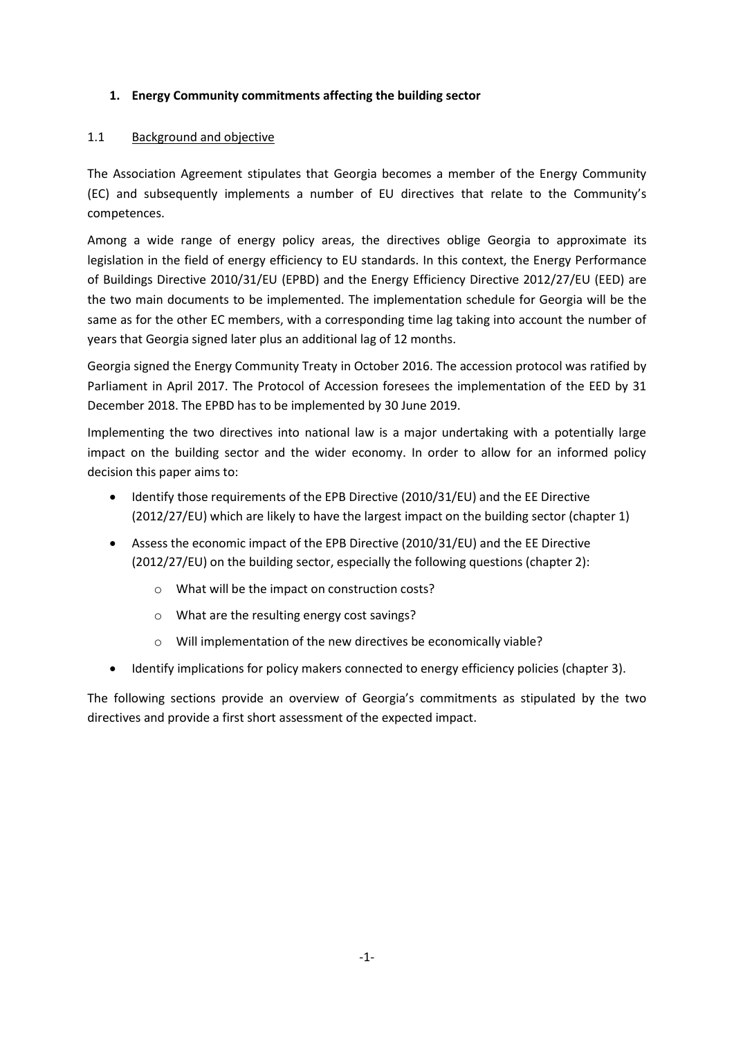## <span id="page-4-0"></span>**1. Energy Community commitments affecting the building sector**

## <span id="page-4-1"></span>1.1 Background and objective

The Association Agreement stipulates that Georgia becomes a member of the Energy Community (EC) and subsequently implements a number of EU directives that relate to the Community's competences.

Among a wide range of energy policy areas, the directives oblige Georgia to approximate its legislation in the field of energy efficiency to EU standards. In this context, the Energy Performance of Buildings Directive 2010/31/EU (EPBD) and the Energy Efficiency Directive 2012/27/EU (EED) are the two main documents to be implemented. The implementation schedule for Georgia will be the same as for the other EC members, with a corresponding time lag taking into account the number of years that Georgia signed later plus an additional lag of 12 months.

Georgia signed the Energy Community Treaty in October 2016. The accession protocol was ratified by Parliament in April 2017. The Protocol of Accession foresees the implementation of the EED by 31 December 2018. The EPBD has to be implemented by 30 June 2019.

Implementing the two directives into national law is a major undertaking with a potentially large impact on the building sector and the wider economy. In order to allow for an informed policy decision this paper aims to:

- Identify those requirements of the EPB Directive (2010/31/EU) and the EE Directive (2012/27/EU) which are likely to have the largest impact on the building sector (chapter 1)
- Assess the economic impact of the EPB Directive (2010/31/EU) and the EE Directive (2012/27/EU) on the building sector, especially the following questions (chapter 2):
	- o What will be the impact on construction costs?
	- o What are the resulting energy cost savings?
	- o Will implementation of the new directives be economically viable?
- Identify implications for policy makers connected to energy efficiency policies (chapter 3).

The following sections provide an overview of Georgia's commitments as stipulated by the two directives and provide a first short assessment of the expected impact.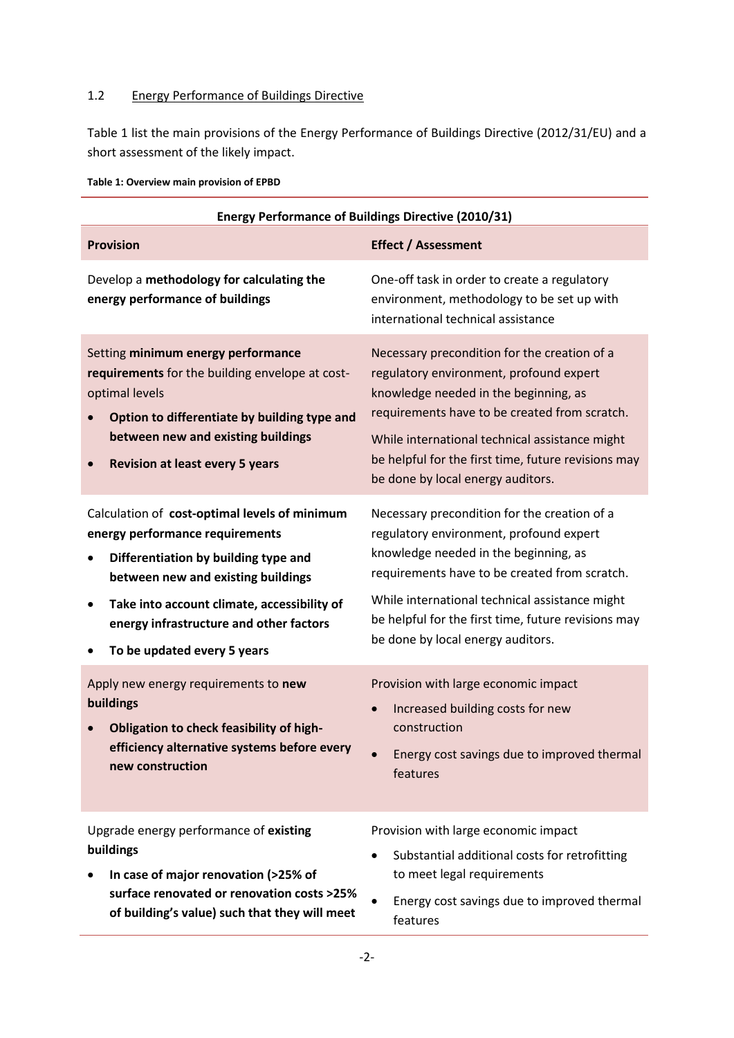## <span id="page-5-0"></span>1.2 Energy Performance of Buildings Directive

[Table 1](#page-5-1) list the main provisions of the Energy Performance of Buildings Directive (2012/31/EU) and a short assessment of the likely impact.

<span id="page-5-1"></span>

|  | Table 1: Overview main provision of EPBD |  |  |  |  |
|--|------------------------------------------|--|--|--|--|
|--|------------------------------------------|--|--|--|--|

| <b>Energy Performance of Buildings Directive (2010/31)</b>                                                                                                                                                                                                                                        |                                                                                                                                                                                                                                                                                                                                 |
|---------------------------------------------------------------------------------------------------------------------------------------------------------------------------------------------------------------------------------------------------------------------------------------------------|---------------------------------------------------------------------------------------------------------------------------------------------------------------------------------------------------------------------------------------------------------------------------------------------------------------------------------|
| <b>Provision</b>                                                                                                                                                                                                                                                                                  | <b>Effect / Assessment</b>                                                                                                                                                                                                                                                                                                      |
| Develop a methodology for calculating the<br>energy performance of buildings                                                                                                                                                                                                                      | One-off task in order to create a regulatory<br>environment, methodology to be set up with<br>international technical assistance                                                                                                                                                                                                |
| Setting minimum energy performance<br>requirements for the building envelope at cost-<br>optimal levels<br>Option to differentiate by building type and<br>between new and existing buildings<br><b>Revision at least every 5 years</b>                                                           | Necessary precondition for the creation of a<br>regulatory environment, profound expert<br>knowledge needed in the beginning, as<br>requirements have to be created from scratch.<br>While international technical assistance might<br>be helpful for the first time, future revisions may<br>be done by local energy auditors. |
| Calculation of cost-optimal levels of minimum<br>energy performance requirements<br>Differentiation by building type and<br>٠<br>between new and existing buildings<br>Take into account climate, accessibility of<br>٠<br>energy infrastructure and other factors<br>To be updated every 5 years | Necessary precondition for the creation of a<br>regulatory environment, profound expert<br>knowledge needed in the beginning, as<br>requirements have to be created from scratch.<br>While international technical assistance might<br>be helpful for the first time, future revisions may<br>be done by local energy auditors. |
| Apply new energy requirements to new<br>buildings<br>Obligation to check feasibility of high-<br>efficiency alternative systems before every<br>new construction                                                                                                                                  | Provision with large economic impact<br>Increased building costs for new<br>construction<br>Energy cost savings due to improved thermal<br>features                                                                                                                                                                             |
| Upgrade energy performance of existing<br>buildings<br>In case of major renovation (>25% of<br>surface renovated or renovation costs >25%<br>of building's value) such that they will meet                                                                                                        | Provision with large economic impact<br>Substantial additional costs for retrofitting<br>to meet legal requirements<br>Energy cost savings due to improved thermal<br>features                                                                                                                                                  |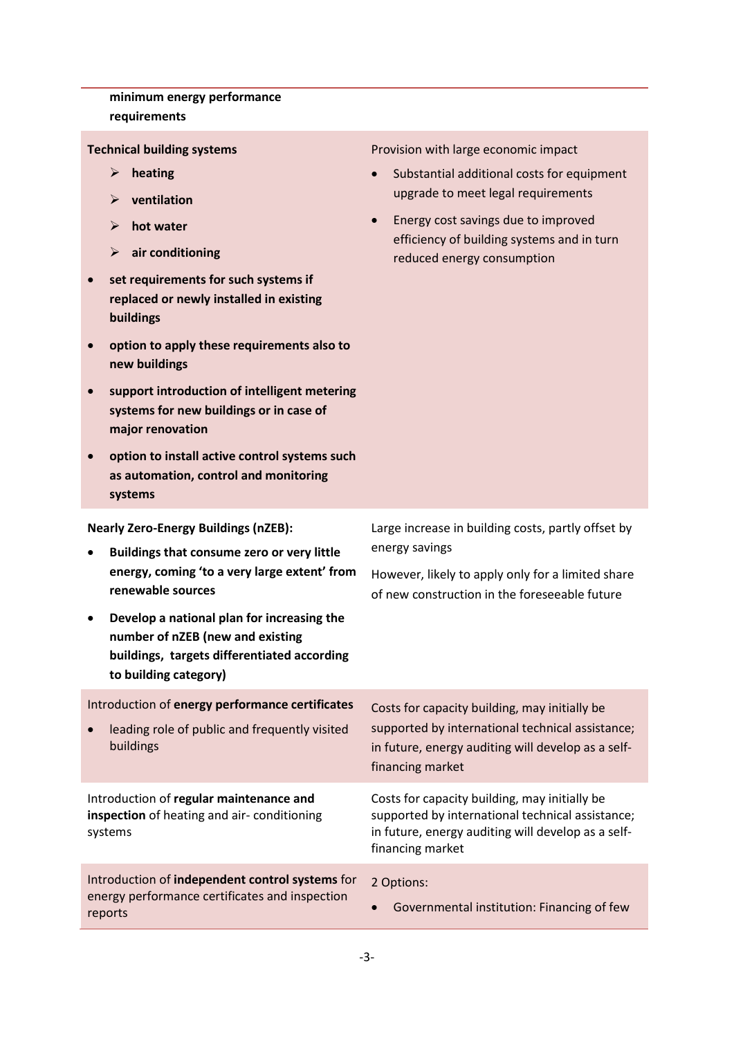**minimum energy performance requirements Technical building systems heating ventilation hot water air conditioning set requirements for such systems if replaced or newly installed in existing buildings option to apply these requirements also to new buildings support introduction of intelligent metering systems for new buildings or in case of major renovation option to install active control systems such as automation, control and monitoring systems** Provision with large economic impact Substantial additional costs for equipment upgrade to meet legal requirements Energy cost savings due to improved efficiency of building systems and in turn reduced energy consumption **Nearly Zero-Energy Buildings (nZEB): Buildings that consume zero or very little energy, coming 'to a very large extent' from renewable sources Develop a national plan for increasing the number of nZEB (new and existing buildings, targets differentiated according to building category)** Large increase in building costs, partly offset by energy savings However, likely to apply only for a limited share of new construction in the foreseeable future Introduction of **energy performance certificates** leading role of public and frequently visited buildings Costs for capacity building, may initially be supported by international technical assistance; in future, energy auditing will develop as a selffinancing market Introduction of **regular maintenance and inspection** of heating and air- conditioning systems Costs for capacity building, may initially be supported by international technical assistance; in future, energy auditing will develop as a selffinancing market Introduction of **independent control systems** for energy performance certificates and inspection reports 2 Options: Governmental institution: Financing of few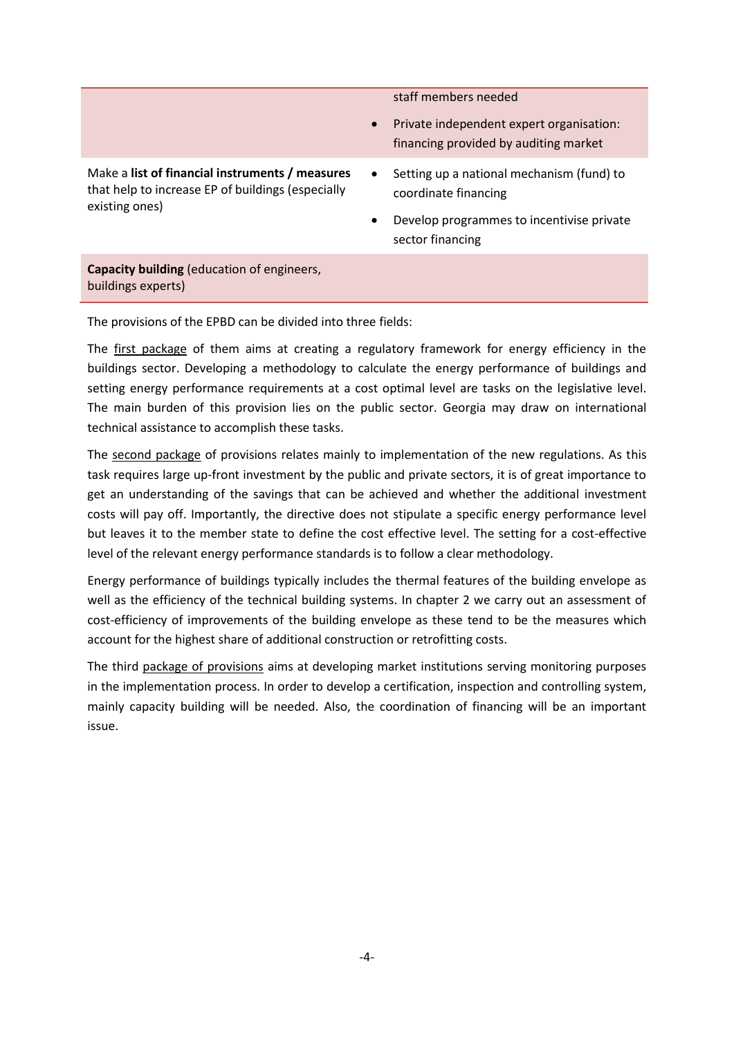staff members needed

 Private independent expert organisation: financing provided by auditing market

Make a **list of financial instruments / measures** that help to increase EP of buildings (especially existing ones)

- Setting up a national mechanism (fund) to coordinate financing
- Develop programmes to incentivise private sector financing

**Capacity building** (education of engineers, buildings experts)

The provisions of the EPBD can be divided into three fields:

The first package of them aims at creating a regulatory framework for energy efficiency in the buildings sector. Developing a methodology to calculate the energy performance of buildings and setting energy performance requirements at a cost optimal level are tasks on the legislative level. The main burden of this provision lies on the public sector. Georgia may draw on international technical assistance to accomplish these tasks.

The second package of provisions relates mainly to implementation of the new regulations. As this task requires large up-front investment by the public and private sectors, it is of great importance to get an understanding of the savings that can be achieved and whether the additional investment costs will pay off. Importantly, the directive does not stipulate a specific energy performance level but leaves it to the member state to define the cost effective level. The setting for a cost-effective level of the relevant energy performance standards is to follow a clear methodology.

Energy performance of buildings typically includes the thermal features of the building envelope as well as the efficiency of the technical building systems. In chapter 2 we carry out an assessment of cost-efficiency of improvements of the building envelope as these tend to be the measures which account for the highest share of additional construction or retrofitting costs.

The third package of provisions aims at developing market institutions serving monitoring purposes in the implementation process. In order to develop a certification, inspection and controlling system, mainly capacity building will be needed. Also, the coordination of financing will be an important issue.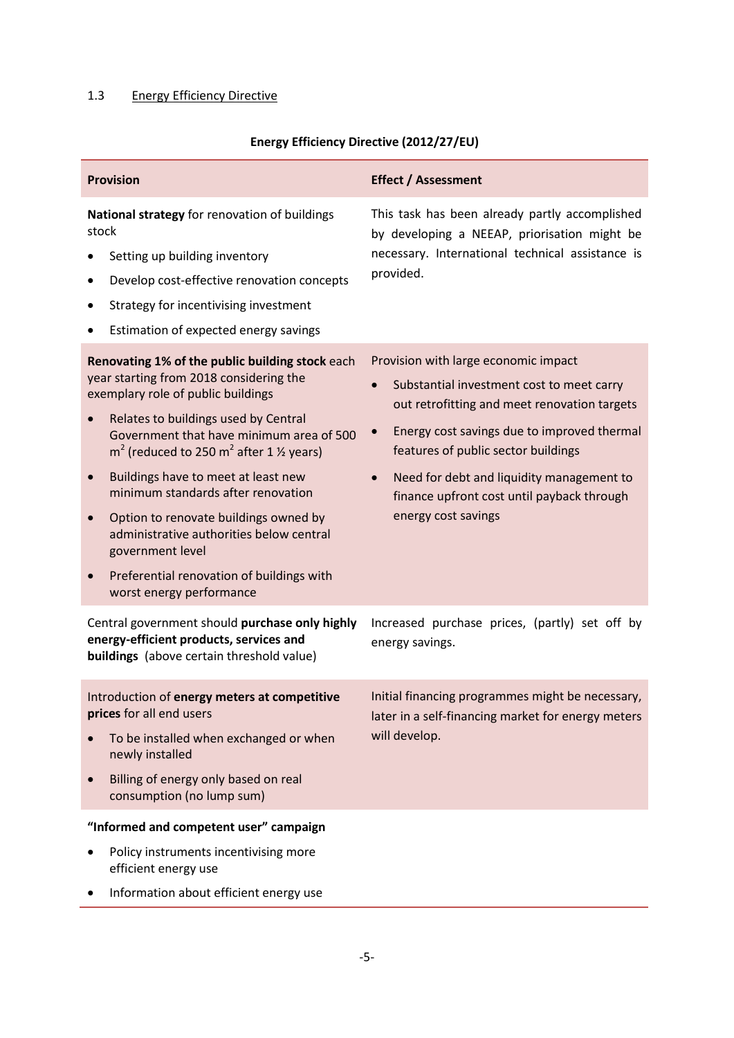# <span id="page-8-0"></span>1.3 Energy Efficiency Directive

|  |  | Energy Efficiency Directive (2012/27/EU) |
|--|--|------------------------------------------|
|--|--|------------------------------------------|

| <b>Provision</b>                                                                                                                                                                                                                                                                                                                                                                                                                                                                                                                                                                                            | <b>Effect / Assessment</b>                                                                                                                                                                                                                                                                                                                                                       |
|-------------------------------------------------------------------------------------------------------------------------------------------------------------------------------------------------------------------------------------------------------------------------------------------------------------------------------------------------------------------------------------------------------------------------------------------------------------------------------------------------------------------------------------------------------------------------------------------------------------|----------------------------------------------------------------------------------------------------------------------------------------------------------------------------------------------------------------------------------------------------------------------------------------------------------------------------------------------------------------------------------|
| National strategy for renovation of buildings<br>stock<br>Setting up building inventory<br>Develop cost-effective renovation concepts<br>٠<br>Strategy for incentivising investment<br>Estimation of expected energy savings<br>٠                                                                                                                                                                                                                                                                                                                                                                           | This task has been already partly accomplished<br>by developing a NEEAP, priorisation might be<br>necessary. International technical assistance is<br>provided.                                                                                                                                                                                                                  |
| Renovating 1% of the public building stock each<br>year starting from 2018 considering the<br>exemplary role of public buildings<br>Relates to buildings used by Central<br>$\bullet$<br>Government that have minimum area of 500<br>$m2$ (reduced to 250 m <sup>2</sup> after 1 $\frac{1}{2}$ years)<br>Buildings have to meet at least new<br>$\bullet$<br>minimum standards after renovation<br>Option to renovate buildings owned by<br>$\bullet$<br>administrative authorities below central<br>government level<br>Preferential renovation of buildings with<br>$\bullet$<br>worst energy performance | Provision with large economic impact<br>Substantial investment cost to meet carry<br>$\bullet$<br>out retrofitting and meet renovation targets<br>Energy cost savings due to improved thermal<br>$\bullet$<br>features of public sector buildings<br>Need for debt and liquidity management to<br>$\bullet$<br>finance upfront cost until payback through<br>energy cost savings |
| Central government should purchase only highly<br>energy-efficient products, services and<br>buildings (above certain threshold value)                                                                                                                                                                                                                                                                                                                                                                                                                                                                      | Increased purchase prices, (partly) set off by<br>energy savings.                                                                                                                                                                                                                                                                                                                |
| Introduction of energy meters at competitive<br>prices for all end users<br>To be installed when exchanged or when<br>newly installed<br>Billing of energy only based on real<br>consumption (no lump sum)<br>"Informed and competent user" campaign<br>Policy instruments incentivising more                                                                                                                                                                                                                                                                                                               | Initial financing programmes might be necessary,<br>later in a self-financing market for energy meters<br>will develop.                                                                                                                                                                                                                                                          |
| efficient energy use<br>Information about efficient energy use                                                                                                                                                                                                                                                                                                                                                                                                                                                                                                                                              |                                                                                                                                                                                                                                                                                                                                                                                  |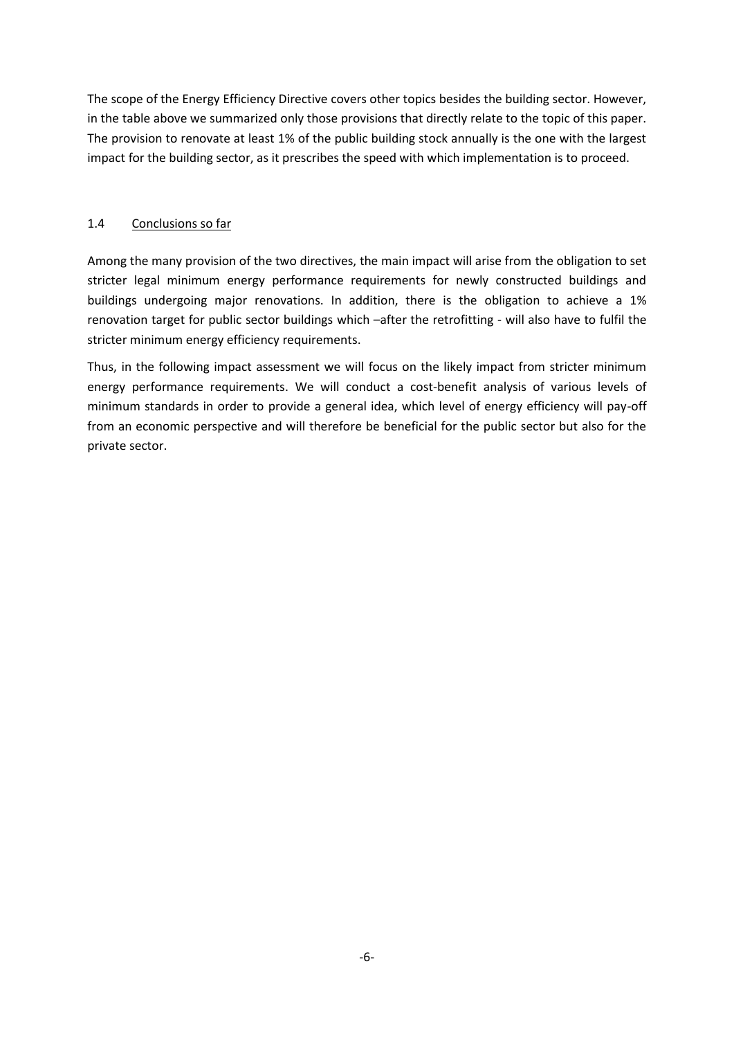The scope of the Energy Efficiency Directive covers other topics besides the building sector. However, in the table above we summarized only those provisions that directly relate to the topic of this paper. The provision to renovate at least 1% of the public building stock annually is the one with the largest impact for the building sector, as it prescribes the speed with which implementation is to proceed.

## <span id="page-9-0"></span>1.4 Conclusions so far

Among the many provision of the two directives, the main impact will arise from the obligation to set stricter legal minimum energy performance requirements for newly constructed buildings and buildings undergoing major renovations. In addition, there is the obligation to achieve a 1% renovation target for public sector buildings which –after the retrofitting - will also have to fulfil the stricter minimum energy efficiency requirements.

Thus, in the following impact assessment we will focus on the likely impact from stricter minimum energy performance requirements. We will conduct a cost-benefit analysis of various levels of minimum standards in order to provide a general idea, which level of energy efficiency will pay-off from an economic perspective and will therefore be beneficial for the public sector but also for the private sector.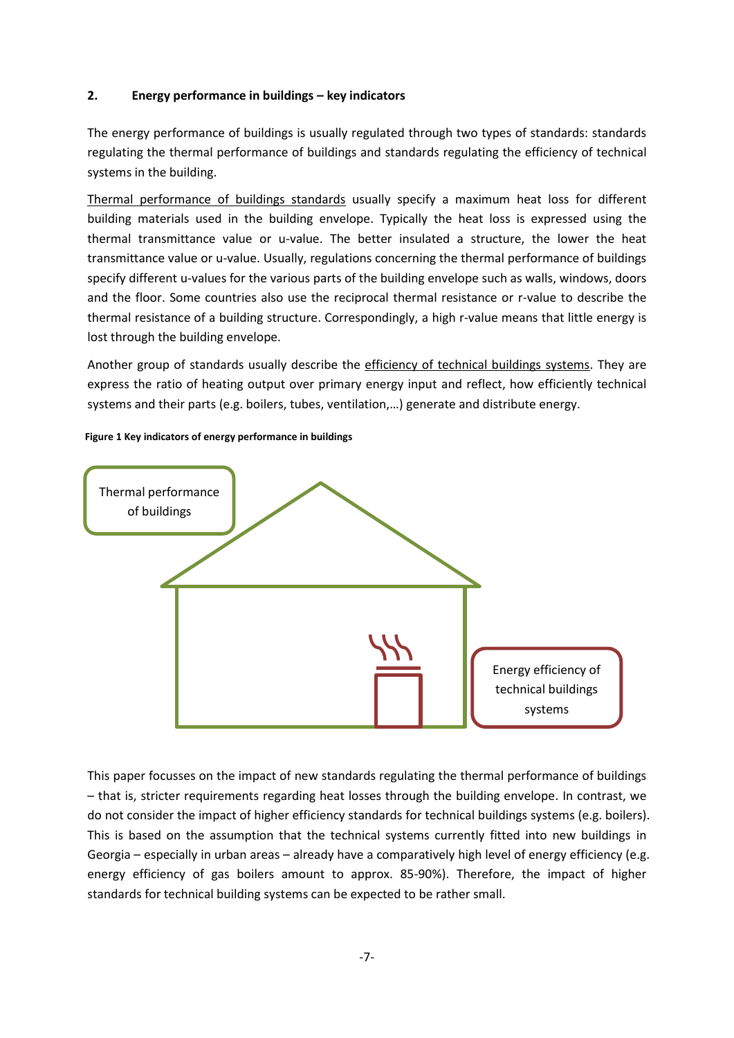### <span id="page-10-0"></span>**2. Energy performance in buildings – key indicators**

The energy performance of buildings is usually regulated through two types of standards: standards regulating the thermal performance of buildings and standards regulating the efficiency of technical systems in the building.

Thermal performance of buildings standards usually specify a maximum heat loss for different building materials used in the building envelope. Typically the heat loss is expressed using the thermal transmittance value or u-value. The better insulated a structure, the lower the heat transmittance value or u-value. Usually, regulations concerning the thermal performance of buildings specify different u-values for the various parts of the building envelope such as walls, windows, doors and the floor. Some countries also use the reciprocal thermal resistance or r-value to describe the thermal resistance of a building structure. Correspondingly, a high r-value means that little energy is lost through the building envelope.

Another group of standards usually describe the efficiency of technical buildings systems. They are express the ratio of heating output over primary energy input and reflect, how efficiently technical systems and their parts (e.g. boilers, tubes, ventilation,…) generate and distribute energy.



#### **Figure 1 Key indicators of energy performance in buildings**

This paper focusses on the impact of new standards regulating the thermal performance of buildings – that is, stricter requirements regarding heat losses through the building envelope. In contrast, we do not consider the impact of higher efficiency standards for technical buildings systems (e.g. boilers). This is based on the assumption that the technical systems currently fitted into new buildings in Georgia – especially in urban areas – already have a comparatively high level of energy efficiency (e.g. energy efficiency of gas boilers amount to approx. 85-90%). Therefore, the impact of higher standards for technical building systems can be expected to be rather small.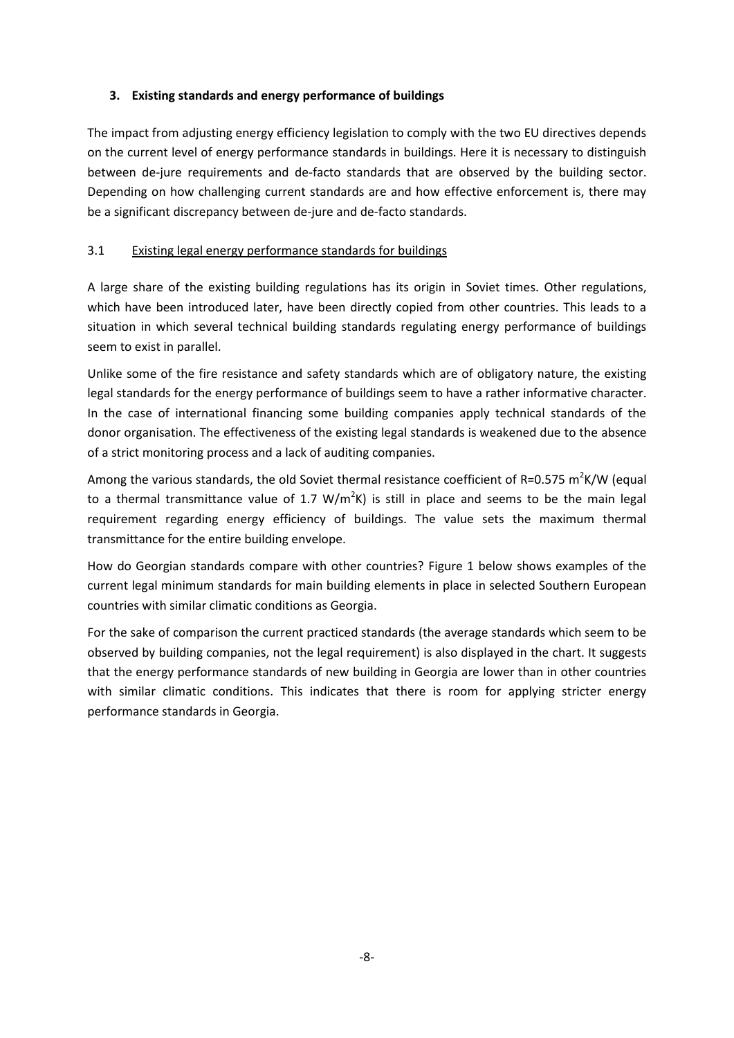## <span id="page-11-0"></span>**3. Existing standards and energy performance of buildings**

The impact from adjusting energy efficiency legislation to comply with the two EU directives depends on the current level of energy performance standards in buildings. Here it is necessary to distinguish between de-jure requirements and de-facto standards that are observed by the building sector. Depending on how challenging current standards are and how effective enforcement is, there may be a significant discrepancy between de-jure and de-facto standards.

# <span id="page-11-1"></span>3.1 Existing legal energy performance standards for buildings

A large share of the existing building regulations has its origin in Soviet times. Other regulations, which have been introduced later, have been directly copied from other countries. This leads to a situation in which several technical building standards regulating energy performance of buildings seem to exist in parallel.

Unlike some of the fire resistance and safety standards which are of obligatory nature, the existing legal standards for the energy performance of buildings seem to have a rather informative character. In the case of international financing some building companies apply technical standards of the donor organisation. The effectiveness of the existing legal standards is weakened due to the absence of a strict monitoring process and a lack of auditing companies.

Among the various standards, the old Soviet thermal resistance coefficient of R=0.575 m<sup>2</sup>K/W (equal to a thermal transmittance value of 1.7  $W/m^2K$ ) is still in place and seems to be the main legal requirement regarding energy efficiency of buildings. The value sets the maximum thermal transmittance for the entire building envelope.

How do Georgian standards compare with other countries? [Figure](#page-12-1) 1 below shows examples of the current legal minimum standards for main building elements in place in selected Southern European countries with similar climatic conditions as Georgia.

For the sake of comparison the current practiced standards (the average standards which seem to be observed by building companies, not the legal requirement) is also displayed in the chart. It suggests that the energy performance standards of new building in Georgia are lower than in other countries with similar climatic conditions. This indicates that there is room for applying stricter energy performance standards in Georgia.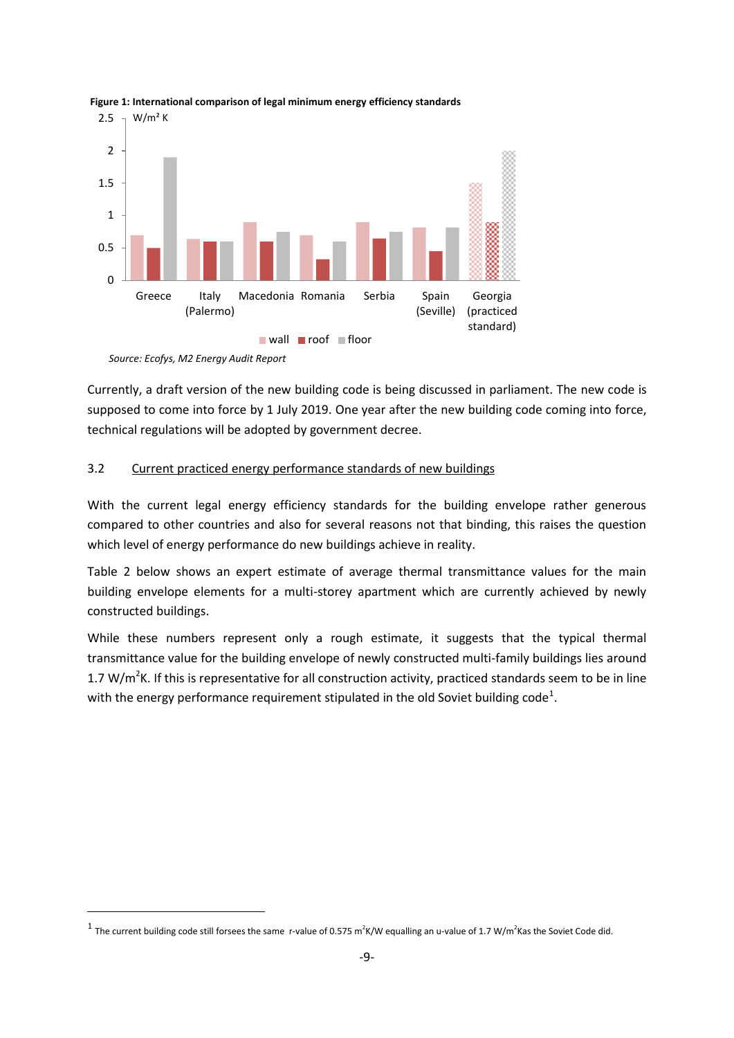

<span id="page-12-1"></span>**Figure 1: International comparison of legal minimum energy efficiency standards**

 $\overline{\phantom{a}}$ 

Currently, a draft version of the new building code is being discussed in parliament. The new code is supposed to come into force by 1 July 2019. One year after the new building code coming into force, technical regulations will be adopted by government decree.

#### <span id="page-12-0"></span>3.2 Current practiced energy performance standards of new buildings

With the current legal energy efficiency standards for the building envelope rather generous compared to other countries and also for several reasons not that binding, this raises the question which level of energy performance do new buildings achieve in reality.

[Table 2](#page-13-1) below shows an expert estimate of average thermal transmittance values for the main building envelope elements for a multi-storey apartment which are currently achieved by newly constructed buildings.

While these numbers represent only a rough estimate, it suggests that the typical thermal transmittance value for the building envelope of newly constructed multi-family buildings lies around 1.7 W/ $m^2$ K. If this is representative for all construction activity, practiced standards seem to be in line with the energy performance requirement stipulated in the old Soviet building code<sup>1</sup>.

*Source: Ecofys, M2 Energy Audit Report*

<sup>&</sup>lt;sup>1</sup> The current building code still forsees the same r-value of 0.575 m<sup>2</sup>K/W equalling an u-value of 1.7 W/m<sup>2</sup>Kas the Soviet Code did.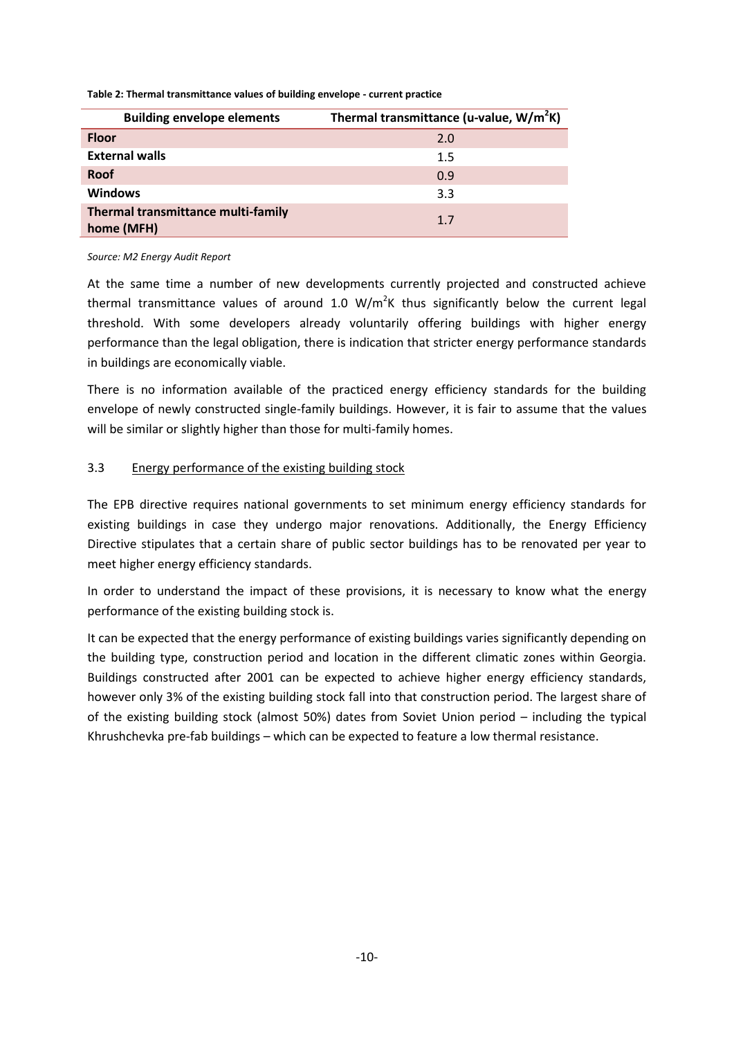| <b>Building envelope elements</b>                | Thermal transmittance (u-value, $W/m^2K$ ) |
|--------------------------------------------------|--------------------------------------------|
| <b>Floor</b>                                     | 2.0                                        |
| <b>External walls</b>                            | 1.5                                        |
| <b>Roof</b>                                      | 0.9                                        |
| <b>Windows</b>                                   | 3.3                                        |
| Thermal transmittance multi-family<br>home (MFH) | 1.7                                        |

<span id="page-13-1"></span>**Table 2: Thermal transmittance values of building envelope - current practice**

#### *Source: M2 Energy Audit Report*

At the same time a number of new developments currently projected and constructed achieve thermal transmittance values of around 1.0  $W/m^2K$  thus significantly below the current legal threshold. With some developers already voluntarily offering buildings with higher energy performance than the legal obligation, there is indication that stricter energy performance standards in buildings are economically viable.

There is no information available of the practiced energy efficiency standards for the building envelope of newly constructed single-family buildings. However, it is fair to assume that the values will be similar or slightly higher than those for multi-family homes.

## <span id="page-13-0"></span>3.3 Energy performance of the existing building stock

The EPB directive requires national governments to set minimum energy efficiency standards for existing buildings in case they undergo major renovations. Additionally, the Energy Efficiency Directive stipulates that a certain share of public sector buildings has to be renovated per year to meet higher energy efficiency standards.

In order to understand the impact of these provisions, it is necessary to know what the energy performance of the existing building stock is.

It can be expected that the energy performance of existing buildings varies significantly depending on the building type, construction period and location in the different climatic zones within Georgia. Buildings constructed after 2001 can be expected to achieve higher energy efficiency standards, however only 3% of the existing building stock fall into that construction period. The largest share of of the existing building stock (almost 50%) dates from Soviet Union period – including the typical Khrushchevka pre-fab buildings – which can be expected to feature a low thermal resistance.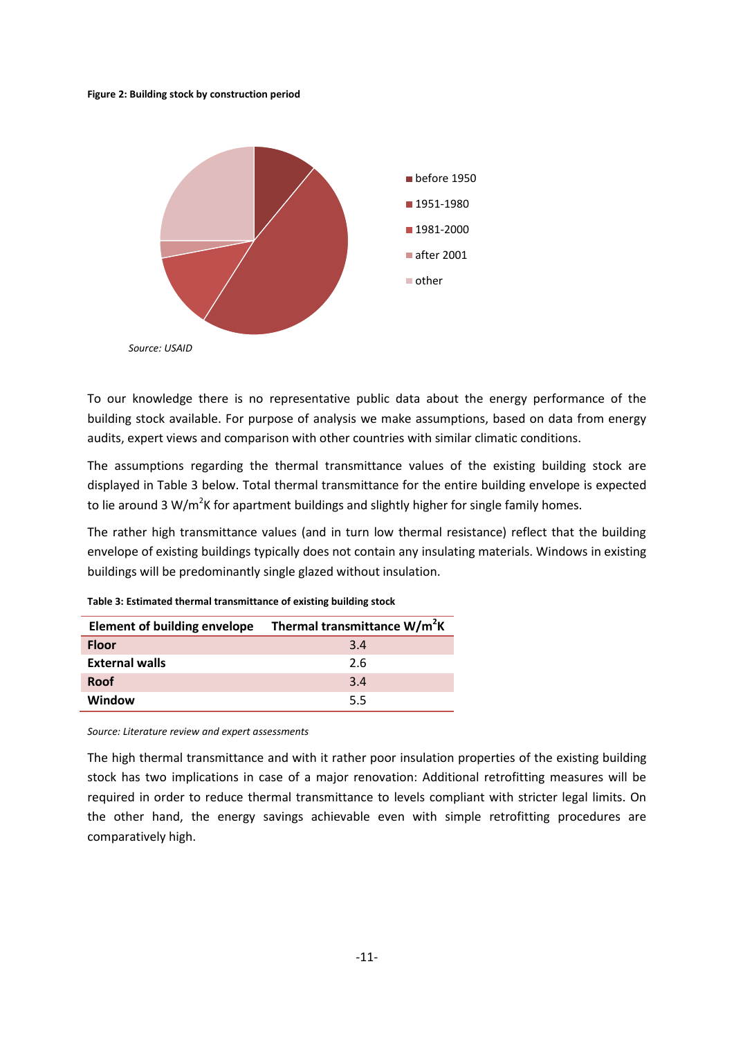**Figure 2: Building stock by construction period**



To our knowledge there is no representative public data about the energy performance of the building stock available. For purpose of analysis we make assumptions, based on data from energy audits, expert views and comparison with other countries with similar climatic conditions.

The assumptions regarding the thermal transmittance values of the existing building stock are displayed in [Table 3](#page-14-0) below. Total thermal transmittance for the entire building envelope is expected to lie around 3 W/m<sup>2</sup>K for apartment buildings and slightly higher for single family homes.

The rather high transmittance values (and in turn low thermal resistance) reflect that the building envelope of existing buildings typically does not contain any insulating materials. Windows in existing buildings will be predominantly single glazed without insulation.

| <b>Element of building envelope</b> | Thermal transmittance W/m <sup>2</sup> K |
|-------------------------------------|------------------------------------------|
| <b>Floor</b>                        | 3.4                                      |
| <b>External walls</b>               | 2.6                                      |
| <b>Roof</b>                         | 3.4                                      |
| Window                              | 5.5                                      |

<span id="page-14-0"></span>**Table 3: Estimated thermal transmittance of existing building stock**

*Source: Literature review and expert assessments*

The high thermal transmittance and with it rather poor insulation properties of the existing building stock has two implications in case of a major renovation: Additional retrofitting measures will be required in order to reduce thermal transmittance to levels compliant with stricter legal limits. On the other hand, the energy savings achievable even with simple retrofitting procedures are comparatively high.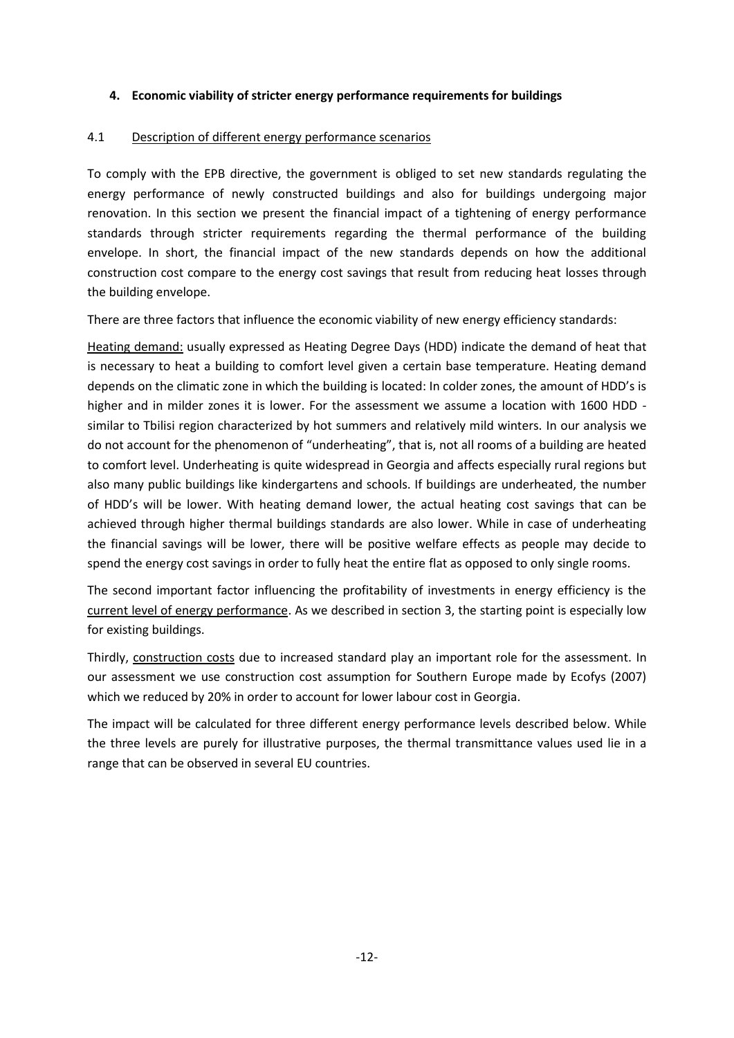## <span id="page-15-0"></span>**4. Economic viability of stricter energy performance requirements for buildings**

### <span id="page-15-1"></span>4.1 Description of different energy performance scenarios

To comply with the EPB directive, the government is obliged to set new standards regulating the energy performance of newly constructed buildings and also for buildings undergoing major renovation. In this section we present the financial impact of a tightening of energy performance standards through stricter requirements regarding the thermal performance of the building envelope. In short, the financial impact of the new standards depends on how the additional construction cost compare to the energy cost savings that result from reducing heat losses through the building envelope.

There are three factors that influence the economic viability of new energy efficiency standards:

Heating demand: usually expressed as Heating Degree Days (HDD) indicate the demand of heat that is necessary to heat a building to comfort level given a certain base temperature. Heating demand depends on the climatic zone in which the building is located: In colder zones, the amount of HDD's is higher and in milder zones it is lower. For the assessment we assume a location with 1600 HDD similar to Tbilisi region characterized by hot summers and relatively mild winters. In our analysis we do not account for the phenomenon of "underheating", that is, not all rooms of a building are heated to comfort level. Underheating is quite widespread in Georgia and affects especially rural regions but also many public buildings like kindergartens and schools. If buildings are underheated, the number of HDD's will be lower. With heating demand lower, the actual heating cost savings that can be achieved through higher thermal buildings standards are also lower. While in case of underheating the financial savings will be lower, there will be positive welfare effects as people may decide to spend the energy cost savings in order to fully heat the entire flat as opposed to only single rooms.

The second important factor influencing the profitability of investments in energy efficiency is the current level of energy performance. As we described in section 3, the starting point is especially low for existing buildings.

Thirdly, construction costs due to increased standard play an important role for the assessment. In our assessment we use construction cost assumption for Southern Europe made by Ecofys (2007) which we reduced by 20% in order to account for lower labour cost in Georgia.

The impact will be calculated for three different energy performance levels described below. While the three levels are purely for illustrative purposes, the thermal transmittance values used lie in a range that can be observed in several EU countries.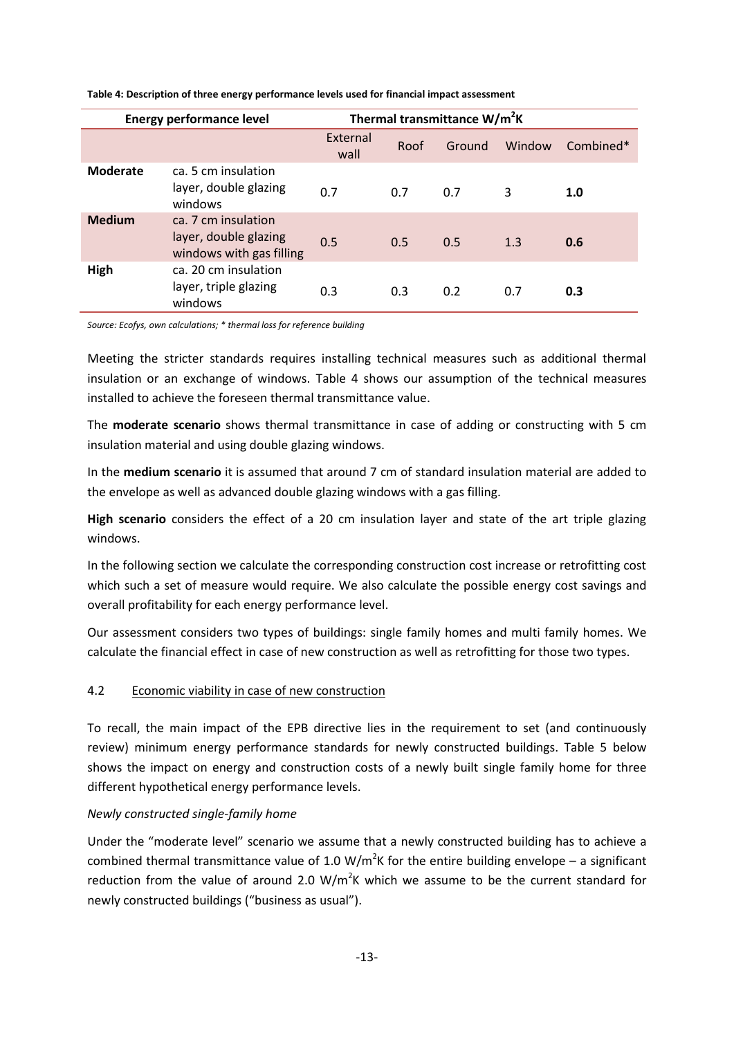| <b>Energy performance level</b> |                                                                          | Thermal transmittance W/m <sup>2</sup> K |      |        |        |             |
|---------------------------------|--------------------------------------------------------------------------|------------------------------------------|------|--------|--------|-------------|
|                                 |                                                                          | External<br>wall                         | Roof | Ground | Window | $Combined*$ |
| <b>Moderate</b>                 | ca. 5 cm insulation<br>layer, double glazing<br>windows                  | 0.7                                      | 0.7  | 0.7    | 3      | 1.0         |
| <b>Medium</b>                   | ca. 7 cm insulation<br>layer, double glazing<br>windows with gas filling | 0.5                                      | 0.5  | 0.5    | 1.3    | 0.6         |
| High                            | ca. 20 cm insulation<br>layer, triple glazing<br>windows                 | 0.3                                      | 0.3  | 0.2    | 0.7    | 0.3         |

#### <span id="page-16-1"></span>**Table 4: Description of three energy performance levels used for financial impact assessment**

*Source: Ecofys, own calculations; \* thermal loss for reference building*

Meeting the stricter standards requires installing technical measures such as additional thermal insulation or an exchange of windows. [Table 4](#page-16-1) shows our assumption of the technical measures installed to achieve the foreseen thermal transmittance value.

The **moderate scenario** shows thermal transmittance in case of adding or constructing with 5 cm insulation material and using double glazing windows.

In the **medium scenario** it is assumed that around 7 cm of standard insulation material are added to the envelope as well as advanced double glazing windows with a gas filling.

**High scenario** considers the effect of a 20 cm insulation layer and state of the art triple glazing windows.

In the following section we calculate the corresponding construction cost increase or retrofitting cost which such a set of measure would require. We also calculate the possible energy cost savings and overall profitability for each energy performance level.

Our assessment considers two types of buildings: single family homes and multi family homes. We calculate the financial effect in case of new construction as well as retrofitting for those two types.

#### <span id="page-16-0"></span>4.2 Economic viability in case of new construction

To recall, the main impact of the EPB directive lies in the requirement to set (and continuously review) minimum energy performance standards for newly constructed buildings. [Table 5](#page-17-0) below shows the impact on energy and construction costs of a newly built single family home for three different hypothetical energy performance levels.

#### *Newly constructed single-family home*

Under the "moderate level" scenario we assume that a newly constructed building has to achieve a combined thermal transmittance value of 1.0 W/m<sup>2</sup>K for the entire building envelope – a significant reduction from the value of around 2.0 W/m<sup>2</sup>K which we assume to be the current standard for newly constructed buildings ("business as usual").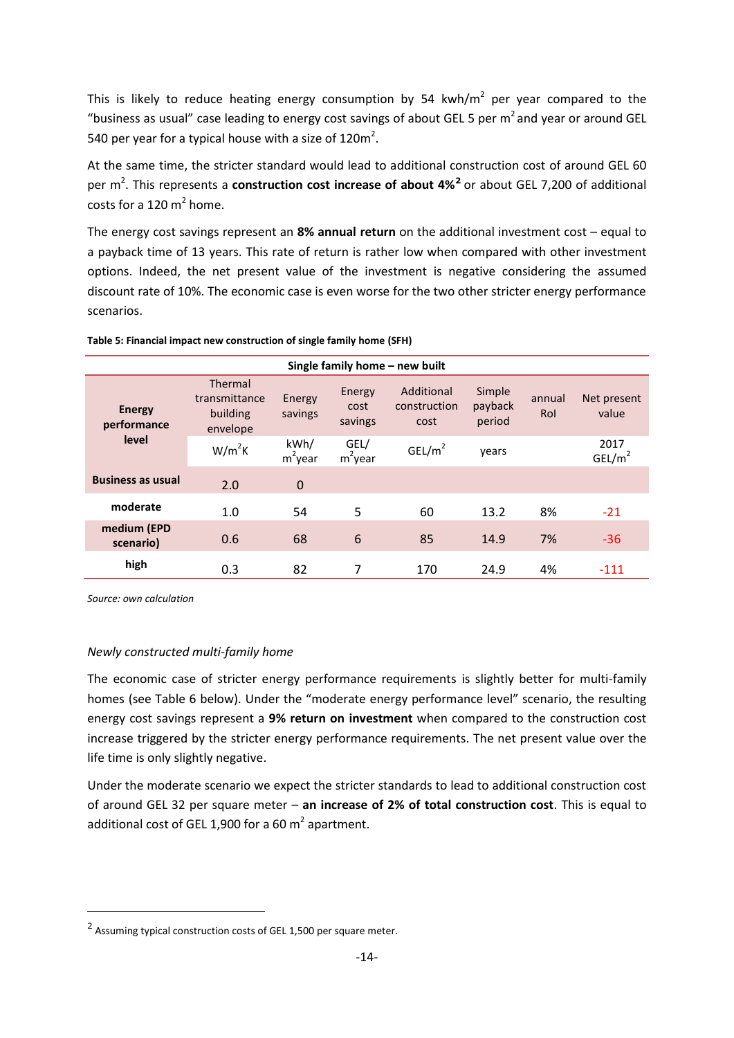This is likely to reduce heating energy consumption by 54 kwh/m<sup>2</sup> per year compared to the "business as usual" case leading to energy cost savings of about GEL 5 per  $m<sup>2</sup>$  and year or around GEL 540 per year for a typical house with a size of 120 $m^2$ .

At the same time, the stricter standard would lead to additional construction cost of around GEL 60 per m<sup>2</sup>. This represents a **construction cost increase of about 4%<sup>2</sup> or** about GEL 7,200 of additional costs for a 120  $m^2$  home.

The energy cost savings represent an **8% annual return** on the additional investment cost – equal to a payback time of 13 years. This rate of return is rather low when compared with other investment options. Indeed, the net present value of the investment is negative considering the assumed discount rate of 10%. The economic case is even worse for the two other stricter energy performance scenarios.

| Single family home - new built |                                                  |                    |                           |                                    |                             |               |                            |
|--------------------------------|--------------------------------------------------|--------------------|---------------------------|------------------------------------|-----------------------------|---------------|----------------------------|
| <b>Energy</b><br>performance   | Thermal<br>transmittance<br>building<br>envelope | Energy<br>savings  | Energy<br>cost<br>savings | Additional<br>construction<br>cost | Simple<br>payback<br>period | annual<br>Rol | Net present<br>value       |
| level                          | $W/m^2K$                                         | kWh/<br>$m^2$ year | GEL/<br>$m^2$ year        | GEL/m <sup>2</sup>                 | years                       |               | 2017<br>GEL/m <sup>2</sup> |
| <b>Business as usual</b>       | 2.0                                              | $\mathbf 0$        |                           |                                    |                             |               |                            |
| moderate                       | 1.0                                              | 54                 | 5                         | 60                                 | 13.2                        | 8%            | $-21$                      |
| medium (EPD<br>scenario)       | 0.6                                              | 68                 | 6                         | 85                                 | 14.9                        | 7%            | $-36$                      |
| high                           | 0.3                                              | 82                 | 7                         | 170                                | 24.9                        | 4%            | $-111$                     |

#### <span id="page-17-0"></span>**Table 5: Financial impact new construction of single family home (SFH)**

*Source: own calculation*

 $\overline{\phantom{a}}$ 

#### *Newly constructed multi-family home*

The economic case of stricter energy performance requirements is slightly better for multi-family homes (see [Table 6](#page-18-0) below). Under the "moderate energy performance level" scenario, the resulting energy cost savings represent a **9% return on investment** when compared to the construction cost increase triggered by the stricter energy performance requirements. The net present value over the life time is only slightly negative.

Under the moderate scenario we expect the stricter standards to lead to additional construction cost of around GEL 32 per square meter – **an increase of 2% of total construction cost**. This is equal to additional cost of GEL 1,900 for a 60  $m^2$  apartment.

 $2$  Assuming typical construction costs of GEL 1,500 per square meter.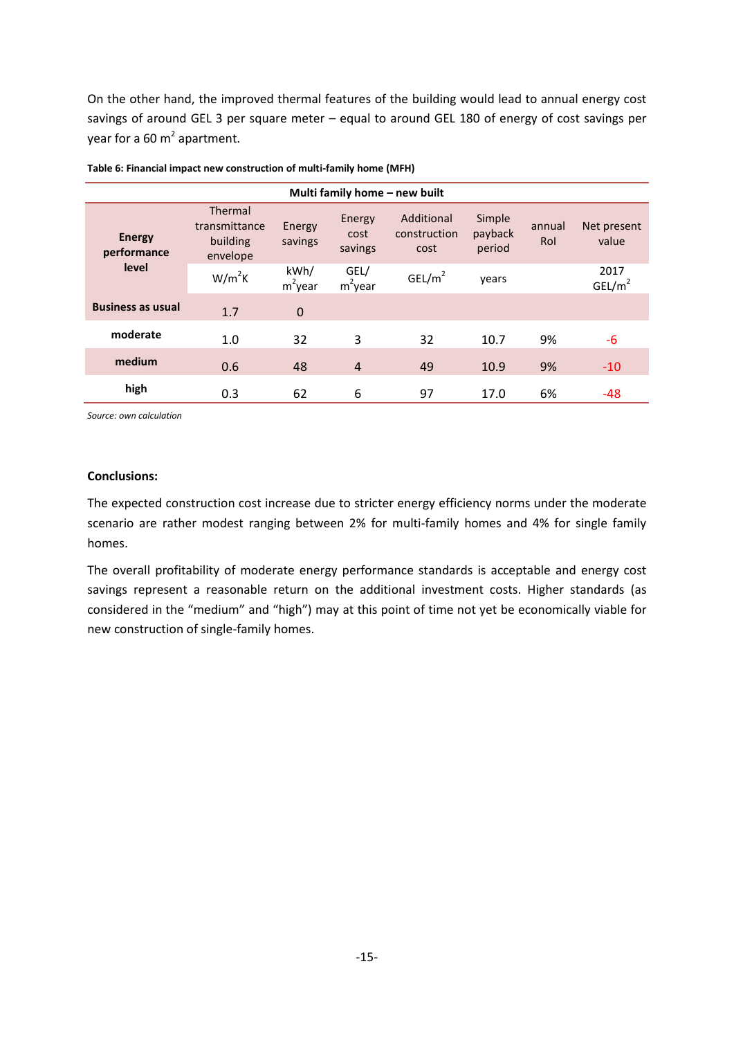On the other hand, the improved thermal features of the building would lead to annual energy cost savings of around GEL 3 per square meter – equal to around GEL 180 of energy of cost savings per year for a 60 m<sup>2</sup> apartment.

|                              |                                                  |                    |                           | Multi family home - new built      |                             |               |                            |
|------------------------------|--------------------------------------------------|--------------------|---------------------------|------------------------------------|-----------------------------|---------------|----------------------------|
| <b>Energy</b><br>performance | Thermal<br>transmittance<br>building<br>envelope | Energy<br>savings  | Energy<br>cost<br>savings | Additional<br>construction<br>cost | Simple<br>payback<br>period | annual<br>Rol | Net present<br>value       |
| level                        | $W/m^2K$                                         | kWh/<br>$m^2$ year | GEL/<br>$m^2$ year        | GEL/m <sup>2</sup>                 | years                       |               | 2017<br>GEL/m <sup>2</sup> |
| <b>Business as usual</b>     | 1.7                                              | $\mathbf 0$        |                           |                                    |                             |               |                            |
| moderate                     | 1.0                                              | 32                 | 3                         | 32                                 | 10.7                        | 9%            | $-6$                       |
| medium                       | 0.6                                              | 48                 | $\overline{4}$            | 49                                 | 10.9                        | 9%            | $-10$                      |
| high                         | 0.3                                              | 62                 | 6                         | 97                                 | 17.0                        | 6%            | $-48$                      |

<span id="page-18-0"></span>

| Table 6: Financial impact new construction of multi-family home (MFH) |  |
|-----------------------------------------------------------------------|--|
|-----------------------------------------------------------------------|--|

*Source: own calculation*

#### **Conclusions:**

The expected construction cost increase due to stricter energy efficiency norms under the moderate scenario are rather modest ranging between 2% for multi-family homes and 4% for single family homes.

The overall profitability of moderate energy performance standards is acceptable and energy cost savings represent a reasonable return on the additional investment costs. Higher standards (as considered in the "medium" and "high") may at this point of time not yet be economically viable for new construction of single-family homes.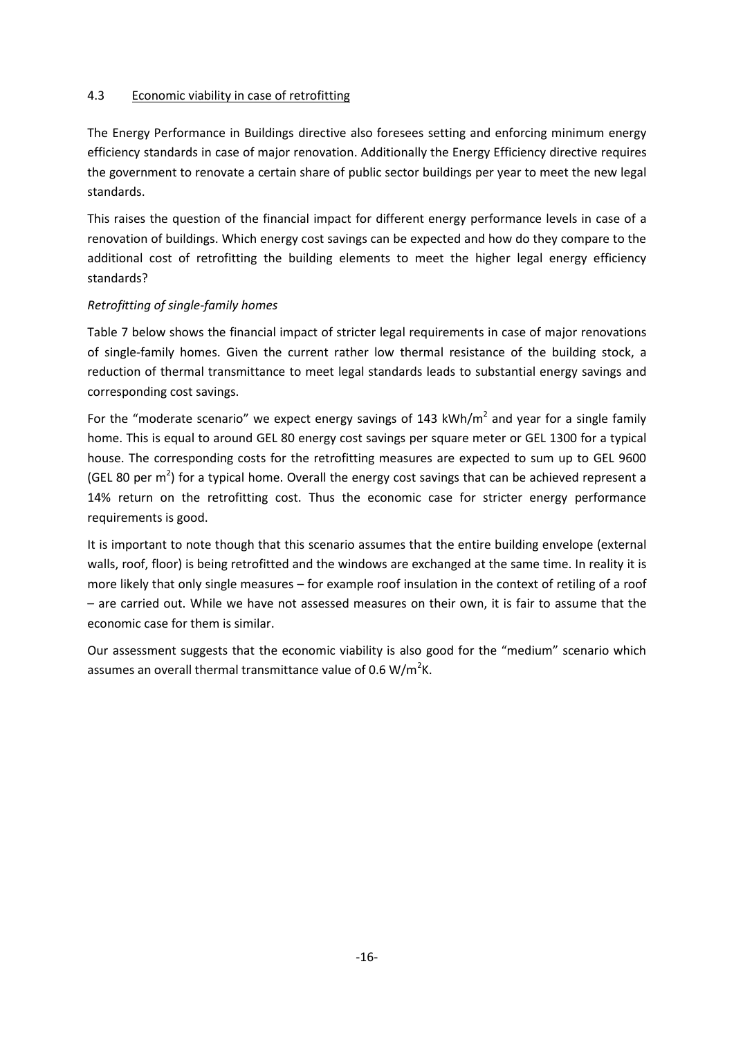### <span id="page-19-0"></span>4.3 Economic viability in case of retrofitting

The Energy Performance in Buildings directive also foresees setting and enforcing minimum energy efficiency standards in case of major renovation. Additionally the Energy Efficiency directive requires the government to renovate a certain share of public sector buildings per year to meet the new legal standards.

This raises the question of the financial impact for different energy performance levels in case of a renovation of buildings. Which energy cost savings can be expected and how do they compare to the additional cost of retrofitting the building elements to meet the higher legal energy efficiency standards?

### *Retrofitting of single-family homes*

[Table 7](#page-20-0) below shows the financial impact of stricter legal requirements in case of major renovations of single-family homes. Given the current rather low thermal resistance of the building stock, a reduction of thermal transmittance to meet legal standards leads to substantial energy savings and corresponding cost savings.

For the "moderate scenario" we expect energy savings of 143 kWh/m<sup>2</sup> and year for a single family home. This is equal to around GEL 80 energy cost savings per square meter or GEL 1300 for a typical house. The corresponding costs for the retrofitting measures are expected to sum up to GEL 9600 (GEL 80 per m<sup>2</sup>) for a typical home. Overall the energy cost savings that can be achieved represent a 14% return on the retrofitting cost. Thus the economic case for stricter energy performance requirements is good.

It is important to note though that this scenario assumes that the entire building envelope (external walls, roof, floor) is being retrofitted and the windows are exchanged at the same time. In reality it is more likely that only single measures – for example roof insulation in the context of retiling of a roof – are carried out. While we have not assessed measures on their own, it is fair to assume that the economic case for them is similar.

Our assessment suggests that the economic viability is also good for the "medium" scenario which assumes an overall thermal transmittance value of 0.6 W/m<sup>2</sup>K.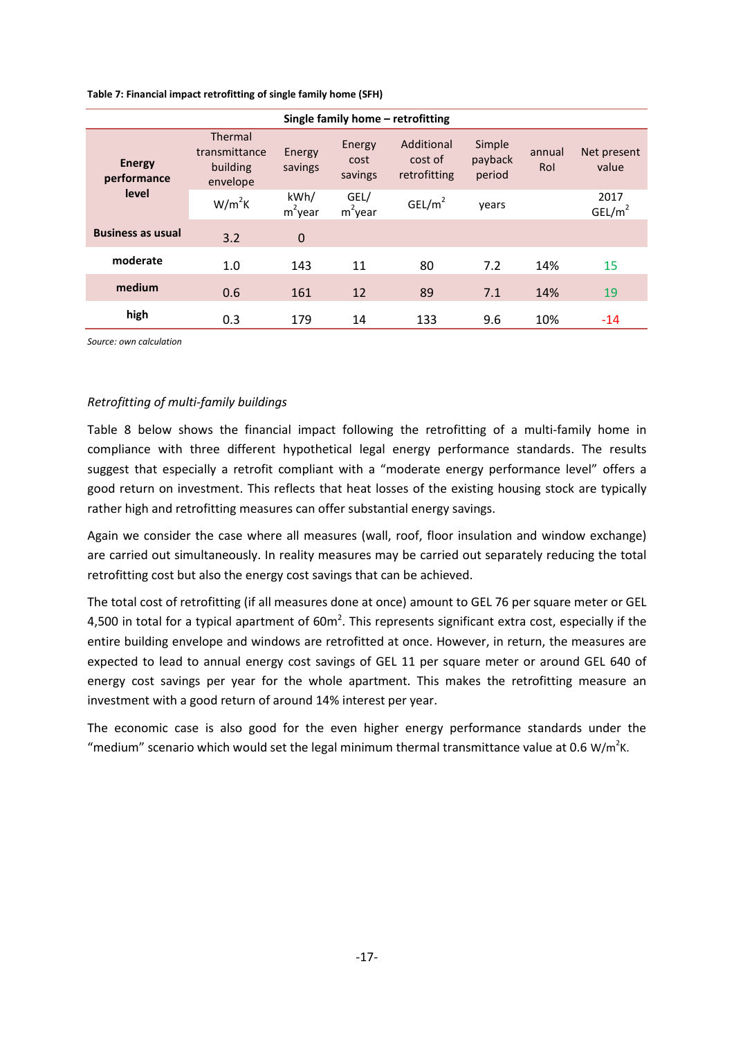<span id="page-20-0"></span>

| Table 7: Financial impact retrofitting of single family home (SFH) |  |
|--------------------------------------------------------------------|--|
|--------------------------------------------------------------------|--|

| Single family home – retrofitting     |                                                  |                    |                           |                                       |                             |               |                            |  |
|---------------------------------------|--------------------------------------------------|--------------------|---------------------------|---------------------------------------|-----------------------------|---------------|----------------------------|--|
| <b>Energy</b><br>performance<br>level | Thermal<br>transmittance<br>building<br>envelope | Energy<br>savings  | Energy<br>cost<br>savings | Additional<br>cost of<br>retrofitting | Simple<br>payback<br>period | annual<br>Rol | Net present<br>value       |  |
|                                       | $W/m^2K$                                         | kWh/<br>$m^2$ year | GEL/<br>$m^2$ year        | GEL/m <sup>2</sup>                    | vears                       |               | 2017<br>GEL/m <sup>2</sup> |  |
| <b>Business as usual</b>              | 3.2                                              | $\mathbf 0$        |                           |                                       |                             |               |                            |  |
| moderate                              | 1.0                                              | 143                | 11                        | 80                                    | 7.2                         | 14%           | 15                         |  |
| medium                                | 0.6                                              | 161                | 12                        | 89                                    | 7.1                         | 14%           | 19                         |  |
| high                                  | 0.3                                              | 179                | 14                        | 133                                   | 9.6                         | 10%           | $-14$                      |  |

*Source: own calculation*

#### *Retrofitting of multi-family buildings*

[Table 8](#page-21-0) below shows the financial impact following the retrofitting of a multi-family home in compliance with three different hypothetical legal energy performance standards. The results suggest that especially a retrofit compliant with a "moderate energy performance level" offers a good return on investment. This reflects that heat losses of the existing housing stock are typically rather high and retrofitting measures can offer substantial energy savings.

Again we consider the case where all measures (wall, roof, floor insulation and window exchange) are carried out simultaneously. In reality measures may be carried out separately reducing the total retrofitting cost but also the energy cost savings that can be achieved.

The total cost of retrofitting (if all measures done at once) amount to GEL 76 per square meter or GEL 4,500 in total for a typical apartment of 60m<sup>2</sup>. This represents significant extra cost, especially if the entire building envelope and windows are retrofitted at once. However, in return, the measures are expected to lead to annual energy cost savings of GEL 11 per square meter or around GEL 640 of energy cost savings per year for the whole apartment. This makes the retrofitting measure an investment with a good return of around 14% interest per year.

The economic case is also good for the even higher energy performance standards under the "medium" scenario which would set the legal minimum thermal transmittance value at 0.6 W/m<sup>2</sup>K.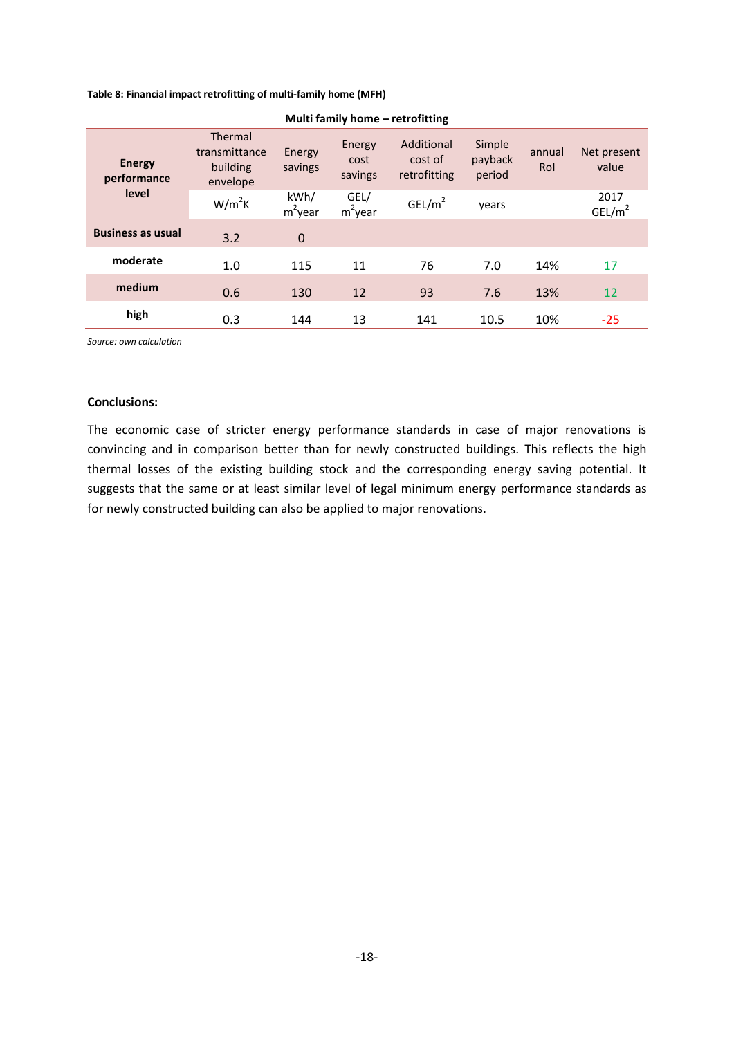<span id="page-21-0"></span>**Table 8: Financial impact retrofitting of multi-family home (MFH)**

| Multi family home - retrofitting      |                                                  |                    |                           |                                       |                             |               |                            |  |
|---------------------------------------|--------------------------------------------------|--------------------|---------------------------|---------------------------------------|-----------------------------|---------------|----------------------------|--|
| <b>Energy</b><br>performance<br>level | Thermal<br>transmittance<br>building<br>envelope | Energy<br>savings  | Energy<br>cost<br>savings | Additional<br>cost of<br>retrofitting | Simple<br>payback<br>period | annual<br>Rol | Net present<br>value       |  |
|                                       | $W/m^2K$                                         | kWh/<br>$m^2$ year | GEL/<br>$m^2$ year        | GEL/m <sup>2</sup>                    | years                       |               | 2017<br>GEL/m <sup>2</sup> |  |
| <b>Business as usual</b>              | 3.2                                              | $\mathbf 0$        |                           |                                       |                             |               |                            |  |
| moderate                              | 1.0                                              | 115                | 11                        | 76                                    | 7.0                         | 14%           | 17                         |  |
| medium                                | 0.6                                              | 130                | 12                        | 93                                    | 7.6                         | 13%           | 12                         |  |
| high                                  | 0.3                                              | 144                | 13                        | 141                                   | 10.5                        | 10%           | $-25$                      |  |

*Source: own calculation*

#### **Conclusions:**

The economic case of stricter energy performance standards in case of major renovations is convincing and in comparison better than for newly constructed buildings. This reflects the high thermal losses of the existing building stock and the corresponding energy saving potential. It suggests that the same or at least similar level of legal minimum energy performance standards as for newly constructed building can also be applied to major renovations.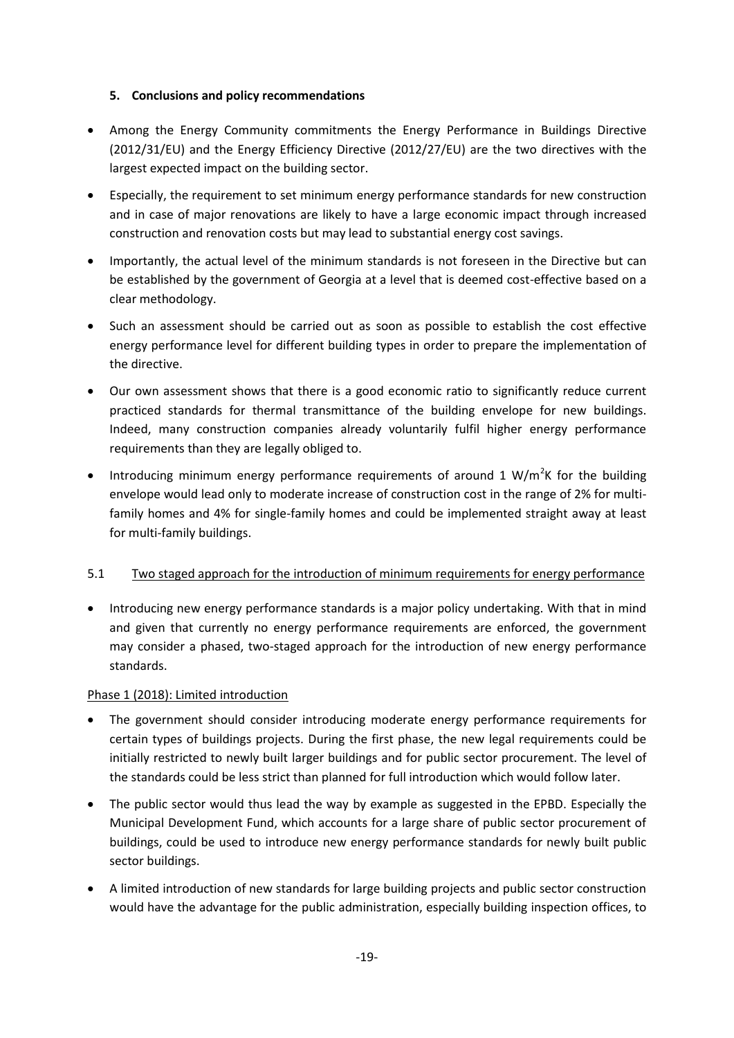## <span id="page-22-0"></span>**5. Conclusions and policy recommendations**

- Among the Energy Community commitments the Energy Performance in Buildings Directive (2012/31/EU) and the Energy Efficiency Directive (2012/27/EU) are the two directives with the largest expected impact on the building sector.
- Especially, the requirement to set minimum energy performance standards for new construction and in case of major renovations are likely to have a large economic impact through increased construction and renovation costs but may lead to substantial energy cost savings.
- Importantly, the actual level of the minimum standards is not foreseen in the Directive but can be established by the government of Georgia at a level that is deemed cost-effective based on a clear methodology.
- Such an assessment should be carried out as soon as possible to establish the cost effective energy performance level for different building types in order to prepare the implementation of the directive.
- Our own assessment shows that there is a good economic ratio to significantly reduce current practiced standards for thermal transmittance of the building envelope for new buildings. Indeed, many construction companies already voluntarily fulfil higher energy performance requirements than they are legally obliged to.
- Introducing minimum energy performance requirements of around 1 W/m<sup>2</sup>K for the building envelope would lead only to moderate increase of construction cost in the range of 2% for multifamily homes and 4% for single-family homes and could be implemented straight away at least for multi-family buildings.

# <span id="page-22-1"></span>5.1 Two staged approach for the introduction of minimum requirements for energy performance

 Introducing new energy performance standards is a major policy undertaking. With that in mind and given that currently no energy performance requirements are enforced, the government may consider a phased, two-staged approach for the introduction of new energy performance standards.

## Phase 1 (2018): Limited introduction

- The government should consider introducing moderate energy performance requirements for certain types of buildings projects. During the first phase, the new legal requirements could be initially restricted to newly built larger buildings and for public sector procurement. The level of the standards could be less strict than planned for full introduction which would follow later.
- The public sector would thus lead the way by example as suggested in the EPBD. Especially the Municipal Development Fund, which accounts for a large share of public sector procurement of buildings, could be used to introduce new energy performance standards for newly built public sector buildings.
- A limited introduction of new standards for large building projects and public sector construction would have the advantage for the public administration, especially building inspection offices, to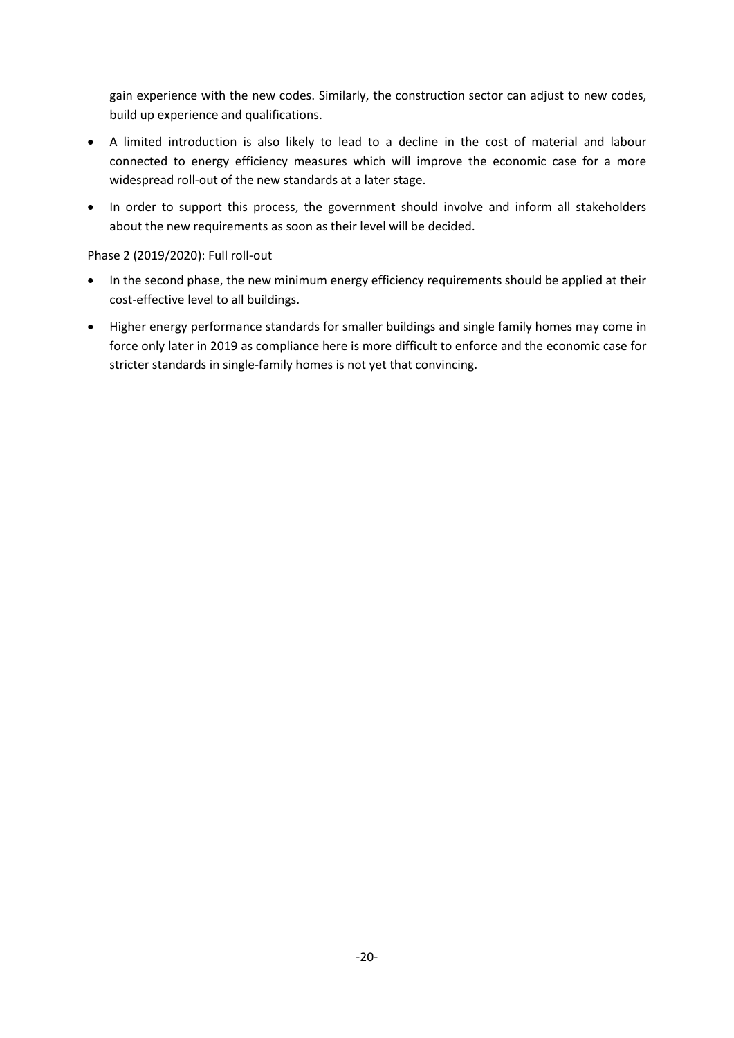gain experience with the new codes. Similarly, the construction sector can adjust to new codes, build up experience and qualifications.

- A limited introduction is also likely to lead to a decline in the cost of material and labour connected to energy efficiency measures which will improve the economic case for a more widespread roll-out of the new standards at a later stage.
- In order to support this process, the government should involve and inform all stakeholders about the new requirements as soon as their level will be decided.

### Phase 2 (2019/2020): Full roll-out

- In the second phase, the new minimum energy efficiency requirements should be applied at their cost-effective level to all buildings.
- Higher energy performance standards for smaller buildings and single family homes may come in force only later in 2019 as compliance here is more difficult to enforce and the economic case for stricter standards in single-family homes is not yet that convincing.